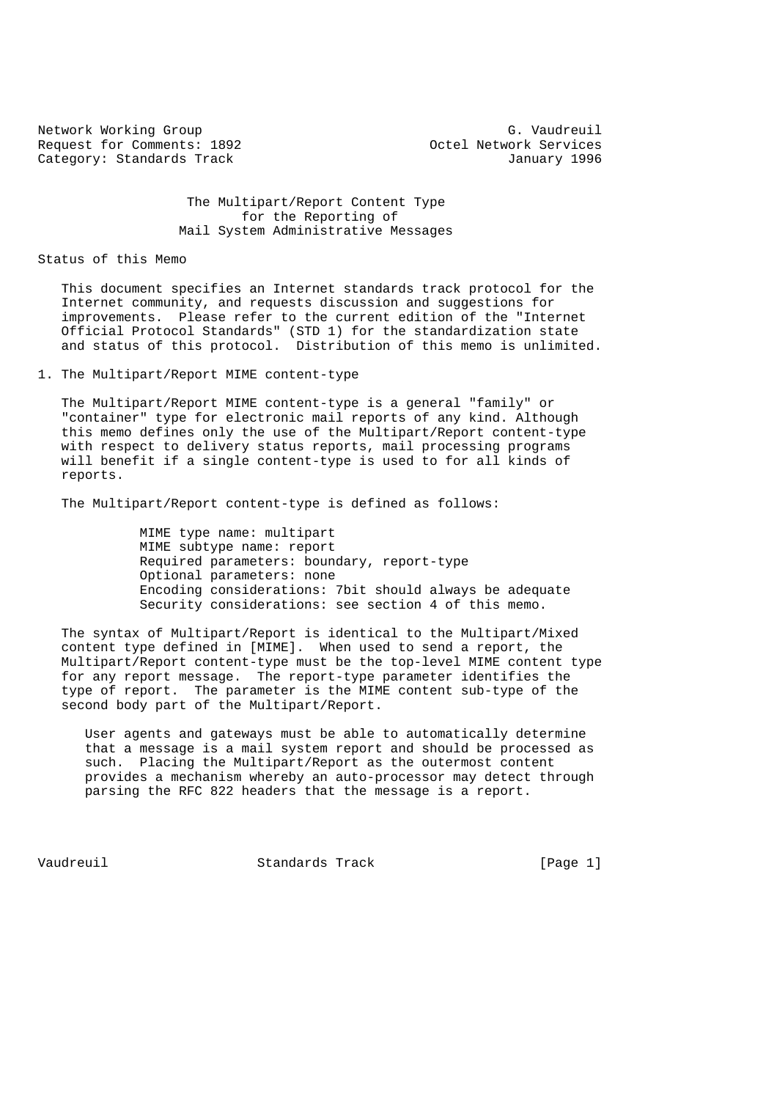Request for Comments: 1892 Octel Network Services Category: Standards Track

Network Working Group G. Vaudreuil

 The Multipart/Report Content Type for the Reporting of Mail System Administrative Messages

Status of this Memo

 This document specifies an Internet standards track protocol for the Internet community, and requests discussion and suggestions for improvements. Please refer to the current edition of the "Internet Official Protocol Standards" (STD 1) for the standardization state and status of this protocol. Distribution of this memo is unlimited.

1. The Multipart/Report MIME content-type

 The Multipart/Report MIME content-type is a general "family" or "container" type for electronic mail reports of any kind. Although this memo defines only the use of the Multipart/Report content-type with respect to delivery status reports, mail processing programs will benefit if a single content-type is used to for all kinds of reports.

The Multipart/Report content-type is defined as follows:

 MIME type name: multipart MIME subtype name: report Required parameters: boundary, report-type Optional parameters: none Encoding considerations: 7bit should always be adequate Security considerations: see section 4 of this memo.

 The syntax of Multipart/Report is identical to the Multipart/Mixed content type defined in [MIME]. When used to send a report, the Multipart/Report content-type must be the top-level MIME content type for any report message. The report-type parameter identifies the type of report. The parameter is the MIME content sub-type of the second body part of the Multipart/Report.

 User agents and gateways must be able to automatically determine that a message is a mail system report and should be processed as such. Placing the Multipart/Report as the outermost content provides a mechanism whereby an auto-processor may detect through parsing the RFC 822 headers that the message is a report.

Vaudreuil Standards Track [Page 1]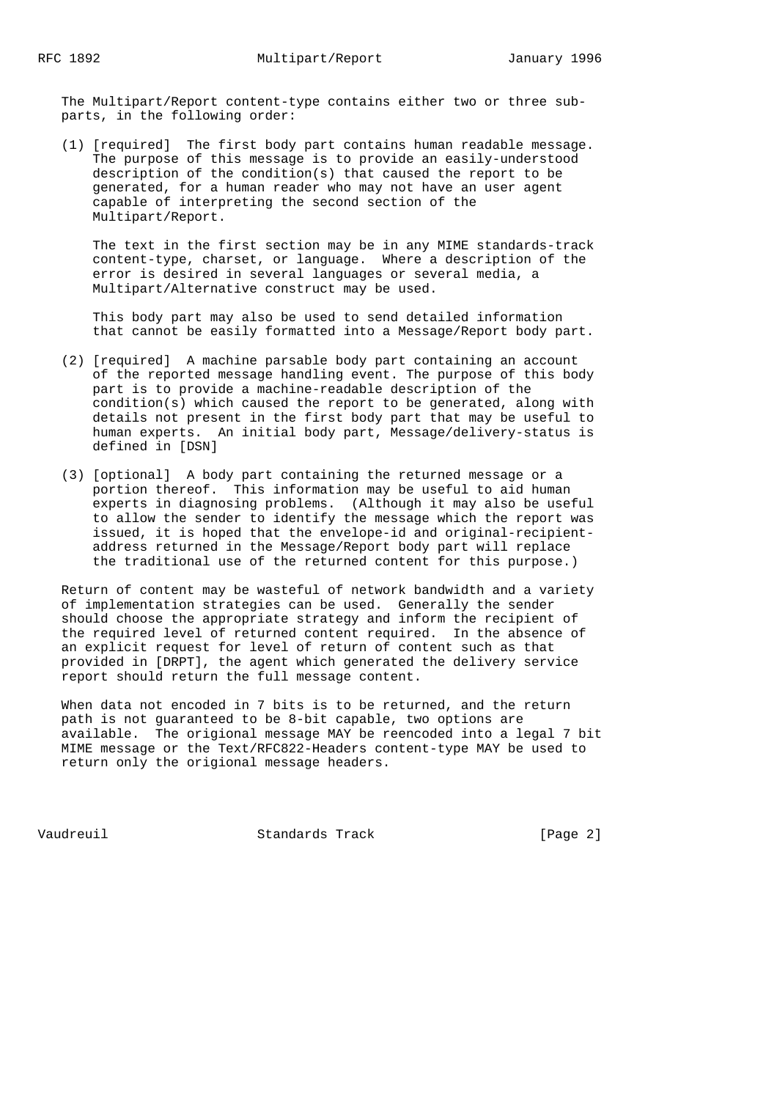The Multipart/Report content-type contains either two or three sub parts, in the following order:

 (1) [required] The first body part contains human readable message. The purpose of this message is to provide an easily-understood description of the condition(s) that caused the report to be generated, for a human reader who may not have an user agent capable of interpreting the second section of the Multipart/Report.

 The text in the first section may be in any MIME standards-track content-type, charset, or language. Where a description of the error is desired in several languages or several media, a Multipart/Alternative construct may be used.

 This body part may also be used to send detailed information that cannot be easily formatted into a Message/Report body part.

- (2) [required] A machine parsable body part containing an account of the reported message handling event. The purpose of this body part is to provide a machine-readable description of the condition(s) which caused the report to be generated, along with details not present in the first body part that may be useful to human experts. An initial body part, Message/delivery-status is defined in [DSN]
	- (3) [optional] A body part containing the returned message or a portion thereof. This information may be useful to aid human experts in diagnosing problems. (Although it may also be useful to allow the sender to identify the message which the report was issued, it is hoped that the envelope-id and original-recipient address returned in the Message/Report body part will replace the traditional use of the returned content for this purpose.)

 Return of content may be wasteful of network bandwidth and a variety of implementation strategies can be used. Generally the sender should choose the appropriate strategy and inform the recipient of the required level of returned content required. In the absence of an explicit request for level of return of content such as that provided in [DRPT], the agent which generated the delivery service report should return the full message content.

 When data not encoded in 7 bits is to be returned, and the return path is not guaranteed to be 8-bit capable, two options are available. The origional message MAY be reencoded into a legal 7 bit MIME message or the Text/RFC822-Headers content-type MAY be used to return only the origional message headers.

Vaudreuil Standards Track [Page 2]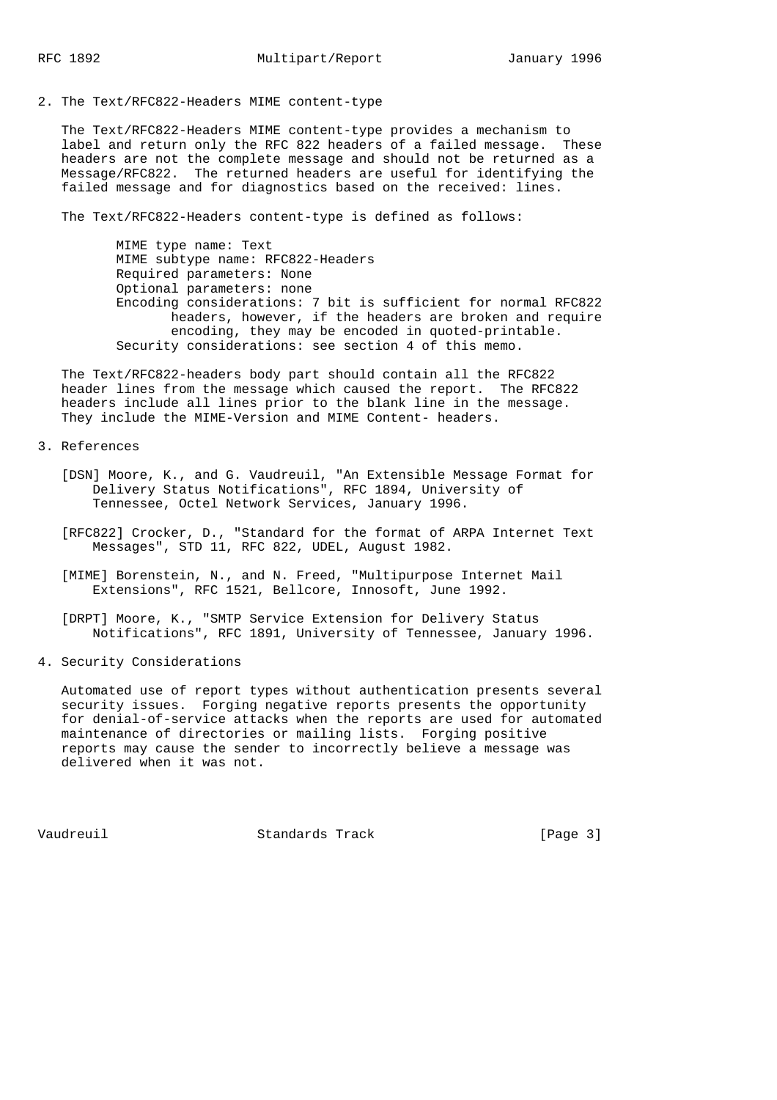2. The Text/RFC822-Headers MIME content-type

 The Text/RFC822-Headers MIME content-type provides a mechanism to label and return only the RFC 822 headers of a failed message. These headers are not the complete message and should not be returned as a Message/RFC822. The returned headers are useful for identifying the failed message and for diagnostics based on the received: lines.

The Text/RFC822-Headers content-type is defined as follows:

 MIME type name: Text MIME subtype name: RFC822-Headers Required parameters: None Optional parameters: none Encoding considerations: 7 bit is sufficient for normal RFC822 headers, however, if the headers are broken and require encoding, they may be encoded in quoted-printable. Security considerations: see section 4 of this memo.

 The Text/RFC822-headers body part should contain all the RFC822 header lines from the message which caused the report. The RFC822 headers include all lines prior to the blank line in the message. They include the MIME-Version and MIME Content- headers.

## 3. References

- [DSN] Moore, K., and G. Vaudreuil, "An Extensible Message Format for Delivery Status Notifications", RFC 1894, University of Tennessee, Octel Network Services, January 1996.
	- [RFC822] Crocker, D., "Standard for the format of ARPA Internet Text Messages", STD 11, RFC 822, UDEL, August 1982.
	- [MIME] Borenstein, N., and N. Freed, "Multipurpose Internet Mail Extensions", RFC 1521, Bellcore, Innosoft, June 1992.

 [DRPT] Moore, K., "SMTP Service Extension for Delivery Status Notifications", RFC 1891, University of Tennessee, January 1996.

4. Security Considerations

 Automated use of report types without authentication presents several security issues. Forging negative reports presents the opportunity for denial-of-service attacks when the reports are used for automated maintenance of directories or mailing lists. Forging positive reports may cause the sender to incorrectly believe a message was delivered when it was not.

Vaudreuil **Standards Track** [Page 3]